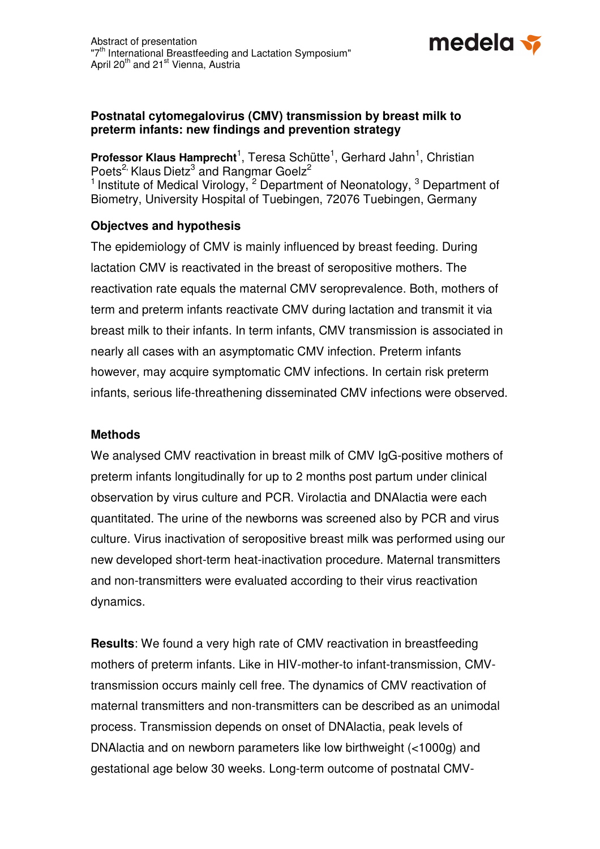

## **Postnatal cytomegalovirus (CMV) transmission by breast milk to preterm infants: new findings and prevention strategy**

Professor Klaus Hamprecht<sup>1</sup>, Teresa Schütte<sup>1</sup>, Gerhard Jahn<sup>1</sup>, Christian Poets<sup>2,</sup> Klaus Dietz<sup>3</sup> and Rangmar Goelz<sup>2</sup> <sup>1</sup> Institute of Medical Virology,  $2$  Department of Neonatology,  $3$  Department of Biometry, University Hospital of Tuebingen, 72076 Tuebingen, Germany

## **Objectves and hypothesis**

The epidemiology of CMV is mainly influenced by breast feeding. During lactation CMV is reactivated in the breast of seropositive mothers. The reactivation rate equals the maternal CMV seroprevalence. Both, mothers of term and preterm infants reactivate CMV during lactation and transmit it via breast milk to their infants. In term infants, CMV transmission is associated in nearly all cases with an asymptomatic CMV infection. Preterm infants however, may acquire symptomatic CMV infections. In certain risk preterm infants, serious life-threathening disseminated CMV infections were observed.

## **Methods**

We analysed CMV reactivation in breast milk of CMV IgG-positive mothers of preterm infants longitudinally for up to 2 months post partum under clinical observation by virus culture and PCR. Virolactia and DNAlactia were each quantitated. The urine of the newborns was screened also by PCR and virus culture. Virus inactivation of seropositive breast milk was performed using our new developed short-term heat-inactivation procedure. Maternal transmitters and non-transmitters were evaluated according to their virus reactivation dynamics.

**Results**: We found a very high rate of CMV reactivation in breastfeeding mothers of preterm infants. Like in HIV-mother-to infant-transmission, CMVtransmission occurs mainly cell free. The dynamics of CMV reactivation of maternal transmitters and non-transmitters can be described as an unimodal process. Transmission depends on onset of DNAlactia, peak levels of DNAlactia and on newborn parameters like low birthweight (<1000g) and gestational age below 30 weeks. Long-term outcome of postnatal CMV-